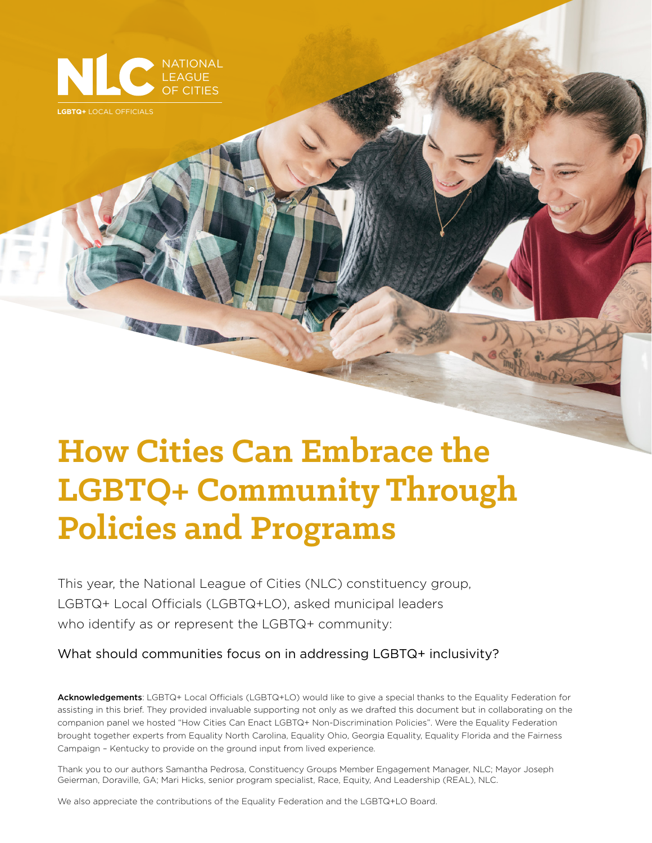

**LGBTQ+** LOCAL OFFICIALS

# **How Cities Can Embrace the LGBTQ+ Community Through Policies and Programs**

This year, the National League of Cities (NLC) constituency group, LGBTQ+ Local Officials (LGBTQ+LO), asked municipal leaders who identify as or represent the LGBTQ+ community:

What should communities focus on in addressing LGBTQ+ inclusivity?

Acknowledgements: LGBTQ+ Local Officials (LGBTQ+LO) would like to give a special thanks to the Equality Federation for assisting in this brief. They provided invaluable supporting not only as we drafted this document but in collaborating on the companion panel we hosted "How Cities Can Enact LGBTQ+ Non-Discrimination Policies". Were the Equality Federation brought together experts from Equality North Carolina, Equality Ohio, Georgia Equality, Equality Florida and the Fairness Campaign – Kentucky to provide on the ground input from lived experience.

Thank you to our authors Samantha Pedrosa, Constituency Groups Member Engagement Manager, NLC; Mayor Joseph Geierman, Doraville, GA; Mari Hicks, senior program specialist, Race, Equity, And Leadership (REAL), NLC.

We also appreciate the contributions of the Equality Federation and the LGBTQ+LO Board.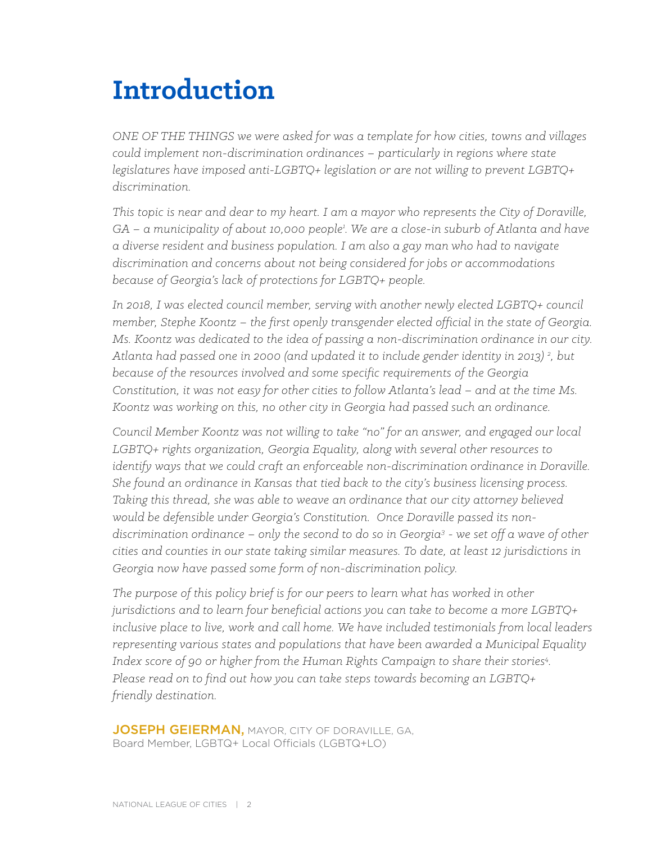# **Introduction**

*ONE OF THE THINGS we were asked for was a template for how cities, towns and villages could implement non-discrimination ordinances – particularly in regions where state legislatures have imposed anti-LGBTQ+ legislation or are not willing to prevent LGBTQ+ discrimination.* 

*This topic is near and dear to my heart. I am a mayor who represents the City of Doraville, GA – a municipality of about 10,000 people1 . We are a close-in suburb of Atlanta and have a diverse resident and business population. I am also a gay man who had to navigate discrimination and concerns about not being considered for jobs or accommodations because of Georgia's lack of protections for LGBTQ+ people.*

*In 2018, I was elected council member, serving with another newly elected LGBTQ+ council member, Stephe Koontz – the first openly transgender elected official in the state of Georgia. Ms. Koontz was dedicated to the idea of passing a non-discrimination ordinance in our city. Atlanta had passed one in 2000 (and updated it to include gender identity in 2013) 2 , but because of the resources involved and some specific requirements of the Georgia Constitution, it was not easy for other cities to follow Atlanta's lead – and at the time Ms. Koontz was working on this, no other city in Georgia had passed such an ordinance.*

*Council Member Koontz was not willing to take "no" for an answer, and engaged our local LGBTQ+ rights organization, Georgia Equality, along with several other resources to identify ways that we could craft an enforceable non-discrimination ordinance in Doraville. She found an ordinance in Kansas that tied back to the city's business licensing process. Taking this thread, she was able to weave an ordinance that our city attorney believed would be defensible under Georgia's Constitution. Once Doraville passed its nondiscrimination ordinance – only the second to do so in Georgia3 - we set off a wave of other cities and counties in our state taking similar measures. To date, at least 12 jurisdictions in Georgia now have passed some form of non-discrimination policy.* 

*The purpose of this policy brief is for our peers to learn what has worked in other jurisdictions and to learn four beneficial actions you can take to become a more LGBTQ+ inclusive place to live, work and call home. We have included testimonials from local leaders representing various states and populations that have been awarded a Municipal Equality*  Index score of 90 or higher from the Human Rights Campaign to share their stories<sup>4</sup>. *Please read on to find out how you can take steps towards becoming an LGBTQ+ friendly destination.* 

JOSEPH GEIERMAN, MAYOR, CITY OF DORAVILLE, GA, Board Member, LGBTQ+ Local Officials (LGBTQ+LO)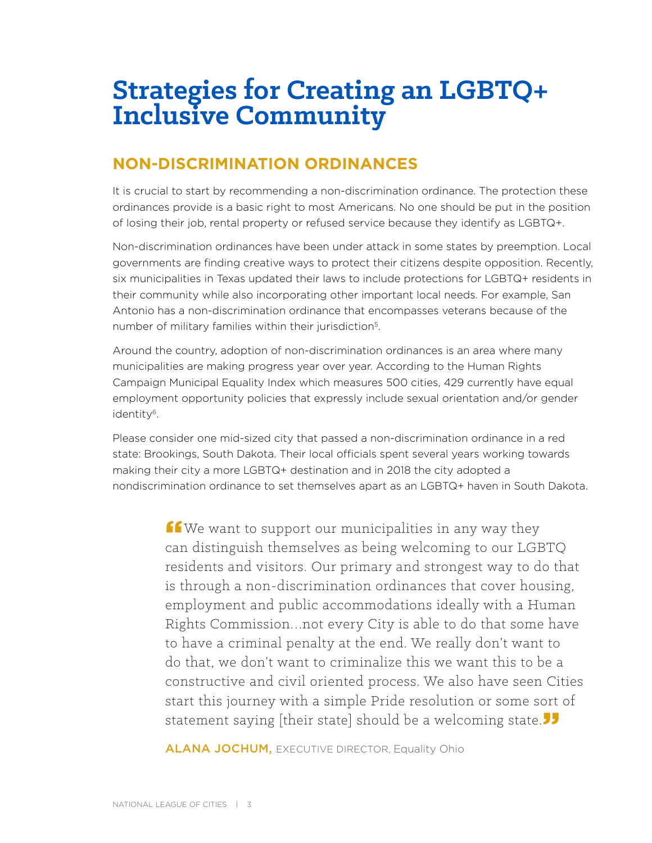# **Strategies for Creating an LGBTQ+ Inclusive Community**

## **NON-DISCRIMINATION ORDINANCES**

It is crucial to start by recommending a non-discrimination ordinance. The protection these ordinances provide is a basic right to most Americans. No one should be put in the position of losing their job, rental property or refused service because they identify as LGBTQ+.

Non-discrimination ordinances have been under attack in some states by preemption. Local governments are finding creative ways to protect their citizens despite opposition. Recently, six municipalities in Texas updated their laws to include protections for LGBTQ+ residents in their community while also incorporating other important local needs. For example, San Antonio has a non-discrimination ordinance that encompasses veterans because of the number of military families within their jurisdiction<sup>5</sup>.

Around the country, adoption of non-discrimination ordinances is an area where many municipalities are making progress year over year. According to the Human Rights Campaign Municipal Equality Index which measures 500 cities, 429 currently have equal employment opportunity policies that expressly include sexual orientation and/or gender identity6.

Please consider one mid-sized city that passed a non-discrimination ordinance in a red state: Brookings, South Dakota. Their local officials spent several years working towards making their city a more LGBTQ+ destination and in 2018 the city adopted a nondiscrimination ordinance to set themselves apart as an LGBTQ+ haven in South Dakota.

> $f$  We want to support our municipalities in any way they can distinguish themselves as being welcoming to our LGBTQ residents and visitors. Our primary and strongest way to do that is through a non-discrimination ordinances that cover housing, employment and public accommodations ideally with a Human Rights Commission…not every City is able to do that some have to have a criminal penalty at the end. We really don't want to do that, we don't want to criminalize this we want this to be a constructive and civil oriented process. We also have seen Cities start this journey with a simple Pride resolution or some sort of statement saying [their state] should be a welcoming state.

**ALANA JOCHUM, EXECUTIVE DIRECTOR, Equality Ohio**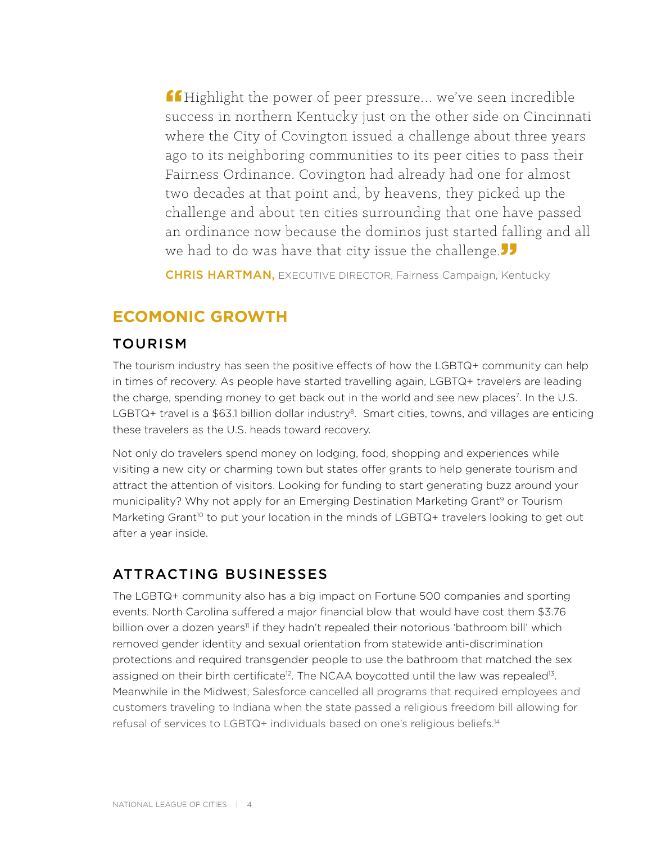ff Highlight the power of peer pressure... we've seen incredible success in northern Kentucky just on the other side on Cincinnati where the City of Covington issued a challenge about three years ago to its neighboring communities to its peer cities to pass their Fairness Ordinance. Covington had already had one for almost two decades at that point and, by heavens, they picked up the challenge and about ten cities surrounding that one have passed an ordinance now because the dominos just started falling and all we had to do was have that city issue the challenge.

**CHRIS HARTMAN, EXECUTIVE DIRECTOR, Fairness Campaign, Kentucky** 

### **ECOMONIC GROWTH**

#### TOURISM

The tourism industry has seen the positive effects of how the LGBTQ+ community can help in times of recovery. As people have started travelling again, LGBTQ+ travelers are leading the charge, spending money to get back out in the world and see new places<sup>7</sup>. In the U.S. LGBTQ+ travel is a \$63.1 billion dollar industry<sup>8</sup>. Smart cities, towns, and villages are enticing these travelers as the U.S. heads toward recovery.

Not only do travelers spend money on lodging, food, shopping and experiences while visiting a new city or charming town but states offer grants to help generate tourism and attract the attention of visitors. Looking for funding to start generating buzz around your municipality? Why not apply for an Emerging Destination Marketing Grant<sup>9</sup> or Tourism Marketing Grant<sup>10</sup> to put your location in the minds of LGBTQ+ travelers looking to get out after a year inside.

#### ATTRACTING BUSINESSES

The LGBTQ+ community also has a big impact on Fortune 500 companies and sporting events. North Carolina suffered a major financial blow that would have cost them \$3.76 billion over a dozen years<sup>11</sup> if they hadn't repealed their notorious 'bathroom bill' which removed gender identity and sexual orientation from statewide anti-discrimination protections and required transgender people to use the bathroom that matched the sex assigned on their birth certificate<sup>12</sup>. The NCAA boycotted until the law was repealed<sup>13</sup>. Meanwhile in the Midwest, Salesforce cancelled all programs that required employees and customers traveling to Indiana when the state passed a religious freedom bill allowing for refusal of services to LGBTQ+ individuals based on one's religious beliefs.14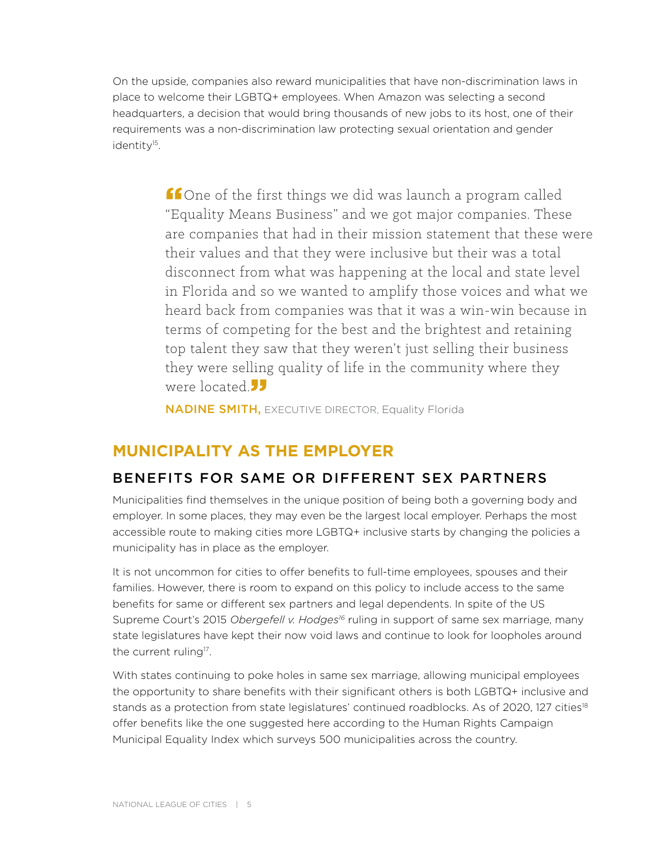On the upside, companies also reward municipalities that have non-discrimination laws in place to welcome their LGBTQ+ employees. When Amazon was selecting a second headquarters, a decision that would bring thousands of new jobs to its host, one of their requirements was a non-discrimination law protecting sexual orientation and gender identity<sup>15</sup>.

> fone of the first things we did was launch a program called "Equality Means Business" and we got major companies. These are companies that had in their mission statement that these were their values and that they were inclusive but their was a total disconnect from what was happening at the local and state level in Florida and so we wanted to amplify those voices and what we heard back from companies was that it was a win-win because in terms of competing for the best and the brightest and retaining top talent they saw that they weren't just selling their business they were selling quality of life in the community where they were located.<sup>"</sup>

NADINE SMITH, EXECUTIVE DIRECTOR, Equality Florida

### **MUNICIPALITY AS THE EMPLOYER**

#### BENEFITS FOR SAME OR DIFFERENT SEX PARTNERS

Municipalities find themselves in the unique position of being both a governing body and employer. In some places, they may even be the largest local employer. Perhaps the most accessible route to making cities more LGBTQ+ inclusive starts by changing the policies a municipality has in place as the employer.

It is not uncommon for cities to offer benefits to full-time employees, spouses and their families. However, there is room to expand on this policy to include access to the same benefits for same or different sex partners and legal dependents. In spite of the US Supreme Court's 2015 *Obergefell v. Hodges<sup>16</sup>* ruling in support of same sex marriage, many state legislatures have kept their now void laws and continue to look for loopholes around the current ruling<sup>17</sup>.

With states continuing to poke holes in same sex marriage, allowing municipal employees the opportunity to share benefits with their significant others is both LGBTQ+ inclusive and stands as a protection from state legislatures' continued roadblocks. As of 2020, 127 cities<sup>18</sup> offer benefits like the one suggested here according to the Human Rights Campaign Municipal Equality Index which surveys 500 municipalities across the country.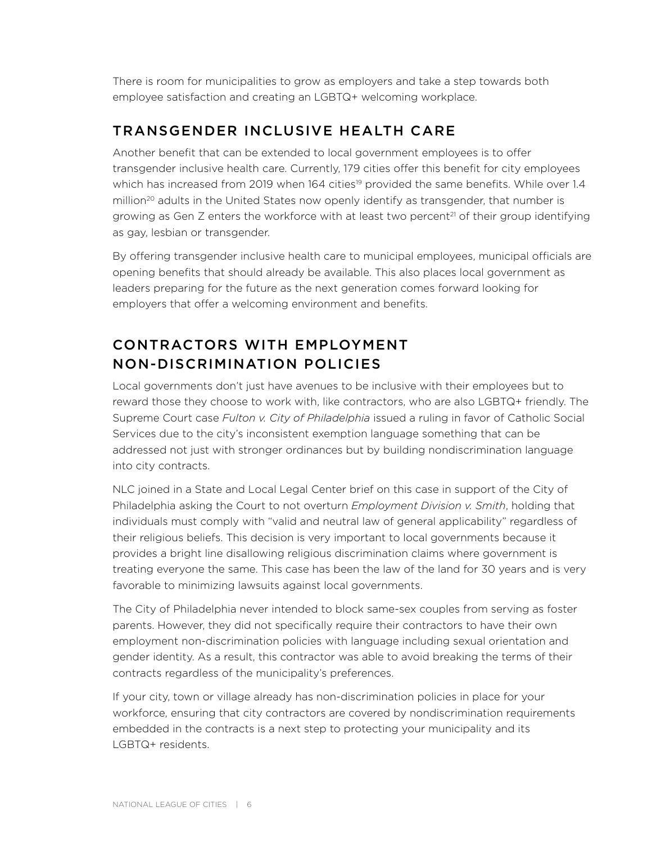There is room for municipalities to grow as employers and take a step towards both employee satisfaction and creating an LGBTQ+ welcoming workplace.

### TRANSGENDER INCLUSIVE HEALTH CARE

Another benefit that can be extended to local government employees is to offer transgender inclusive health care. Currently, 179 cities offer this benefit for city employees which has increased from 2019 when 164 cities<sup>19</sup> provided the same benefits. While over 1.4 million<sup>20</sup> adults in the United States now openly identify as transgender, that number is growing as Gen  $Z$  enters the workforce with at least two percent<sup>21</sup> of their group identifying as gay, lesbian or transgender.

By offering transgender inclusive health care to municipal employees, municipal officials are opening benefits that should already be available. This also places local government as leaders preparing for the future as the next generation comes forward looking for employers that offer a welcoming environment and benefits.

# CONTRACTORS WITH EMPLOYMENT NON-DISCRIMINATION POLICIES

Local governments don't just have avenues to be inclusive with their employees but to reward those they choose to work with, like contractors, who are also LGBTQ+ friendly. The Supreme Court case *Fulton v. City of Philadelphia* issued a ruling in favor of Catholic Social Services due to the city's inconsistent exemption language something that can be addressed not just with stronger ordinances but by building nondiscrimination language into city contracts.

NLC joined in a State and Local Legal Center brief on this case in support of the City of Philadelphia asking the Court to not overturn *Employment Division v. Smith*, holding that individuals must comply with "valid and neutral law of general applicability" regardless of their religious beliefs. This decision is very important to local governments because it provides a bright line disallowing religious discrimination claims where government is treating everyone the same. This case has been the law of the land for 30 years and is very favorable to minimizing lawsuits against local governments.

The City of Philadelphia never intended to block same-sex couples from serving as foster parents. However, they did not specifically require their contractors to have their own employment non-discrimination policies with language including sexual orientation and gender identity. As a result, this contractor was able to avoid breaking the terms of their contracts regardless of the municipality's preferences.

If your city, town or village already has non-discrimination policies in place for your workforce, ensuring that city contractors are covered by nondiscrimination requirements embedded in the contracts is a next step to protecting your municipality and its LGBTQ+ residents.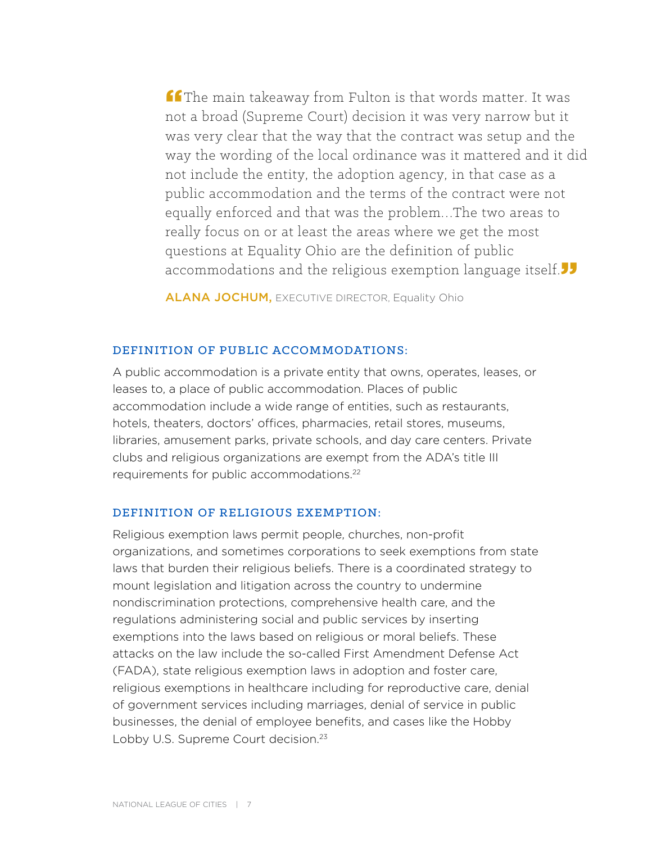$f$  The main takeaway from Fulton is that words matter. It was not a broad (Supreme Court) decision it was very narrow but it was very clear that the way that the contract was setup and the way the wording of the local ordinance was it mattered and it did not include the entity, the adoption agency, in that case as a public accommodation and the terms of the contract were not equally enforced and that was the problem…The two areas to really focus on or at least the areas where we get the most questions at Equality Ohio are the definition of public accommodations and the religious exemption language itself  $\overline{\phantom{a}}$ 

**ALANA JOCHUM, EXECUTIVE DIRECTOR, Equality Ohio** 

#### DEFINITION OF PUBLIC ACCOMMODATIONS:

A public accommodation is a private entity that owns, operates, leases, or leases to, a place of public accommodation. Places of public accommodation include a wide range of entities, such as restaurants, hotels, theaters, doctors' offices, pharmacies, retail stores, museums, libraries, amusement parks, private schools, and day care centers. Private clubs and religious organizations are exempt from the ADA's title III requirements for public accommodations.<sup>22</sup>

#### DEFINITION OF RELIGIOUS EXEMPTION:

Religious exemption laws permit people, churches, non-profit organizations, and sometimes corporations to seek exemptions from state laws that burden their religious beliefs. There is a coordinated strategy to mount legislation and litigation across the country to undermine nondiscrimination protections, comprehensive health care, and the regulations administering social and public services by inserting exemptions into the laws based on religious or moral beliefs. These attacks on the law include the so-called First Amendment Defense Act (FADA), state religious exemption laws in adoption and foster care, religious exemptions in healthcare including for reproductive care, denial of government services including marriages, denial of service in public businesses, the denial of employee benefits, and cases like the Hobby Lobby U.S. Supreme Court decision.<sup>23</sup>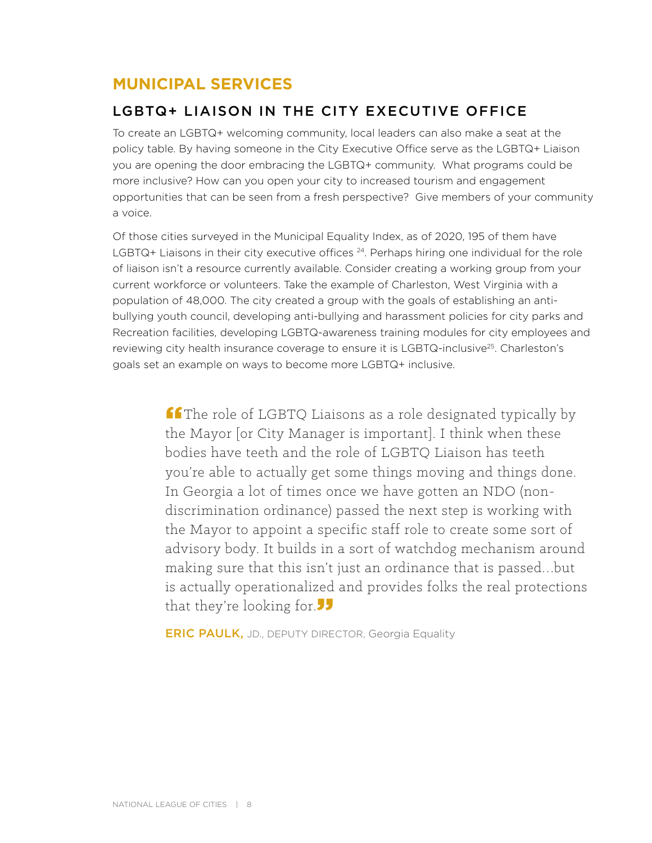# **MUNICIPAL SERVICES**

### LGBTQ+ LIAISON IN THE CITY EXECUTIVE OFFICE

To create an LGBTQ+ welcoming community, local leaders can also make a seat at the policy table. By having someone in the City Executive Office serve as the LGBTQ+ Liaison you are opening the door embracing the LGBTQ+ community. What programs could be more inclusive? How can you open your city to increased tourism and engagement opportunities that can be seen from a fresh perspective? Give members of your community a voice.

Of those cities surveyed in the Municipal Equality Index, as of 2020, 195 of them have LGBTQ+ Liaisons in their city executive offices  $24$ . Perhaps hiring one individual for the role of liaison isn't a resource currently available. Consider creating a working group from your current workforce or volunteers. Take the example of Charleston, West Virginia with a population of 48,000. The city created a group with the goals of establishing an antibullying youth council, developing anti-bullying and harassment policies for city parks and Recreation facilities, developing LGBTQ-awareness training modules for city employees and reviewing city health insurance coverage to ensure it is LGBTQ-inclusive<sup>25</sup>. Charleston's goals set an example on ways to become more LGBTQ+ inclusive.

> **ff** The role of LGBTQ Liaisons as a role designated typically by the Mayor [or City Manager is important]. I think when these bodies have teeth and the role of LGBTQ Liaison has teeth you're able to actually get some things moving and things done. In Georgia a lot of times once we have gotten an NDO (nondiscrimination ordinance) passed the next step is working with the Mayor to appoint a specific staff role to create some sort of advisory body. It builds in a sort of watchdog mechanism around making sure that this isn't just an ordinance that is passed…but is actually operationalized and provides folks the real protections that they're looking for.

**ERIC PAULK, JD., DEPUTY DIRECTOR, Georgia Equality**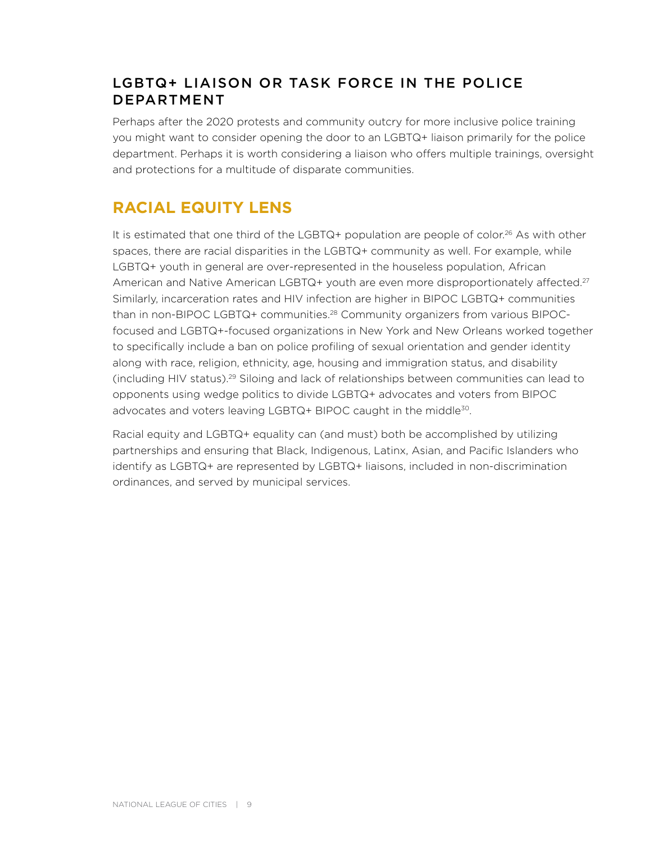#### LGBTQ+ LIAISON OR TASK FORCE IN THE POLICE DEPARTMENT

Perhaps after the 2020 protests and community outcry for more inclusive police training you might want to consider opening the door to an LGBTQ+ liaison primarily for the police department. Perhaps it is worth considering a liaison who offers multiple trainings, oversight and protections for a multitude of disparate communities.

## **RACIAL EQUITY LENS**

It is estimated that one third of the LGBTQ+ population are people of color.<sup>26</sup> As with other spaces, there are racial disparities in the LGBTQ+ community as well. For example, while LGBTQ+ youth in general are over-represented in the houseless population, African American and Native American LGBTQ+ youth are even more disproportionately affected.<sup>27</sup> Similarly, incarceration rates and HIV infection are higher in BIPOC LGBTQ+ communities than in non-BIPOC LGBTQ+ communities.28 Community organizers from various BIPOCfocused and LGBTQ+-focused organizations in New York and New Orleans worked together to specifically include a ban on police profiling of sexual orientation and gender identity along with race, religion, ethnicity, age, housing and immigration status, and disability (including HIV status).29 Siloing and lack of relationships between communities can lead to opponents using wedge politics to divide LGBTQ+ advocates and voters from BIPOC advocates and voters leaving LGBTQ+ BIPOC caught in the middle<sup>30</sup>.

Racial equity and LGBTQ+ equality can (and must) both be accomplished by utilizing partnerships and ensuring that Black, Indigenous, Latinx, Asian, and Pacific Islanders who identify as LGBTQ+ are represented by LGBTQ+ liaisons, included in non-discrimination ordinances, and served by municipal services.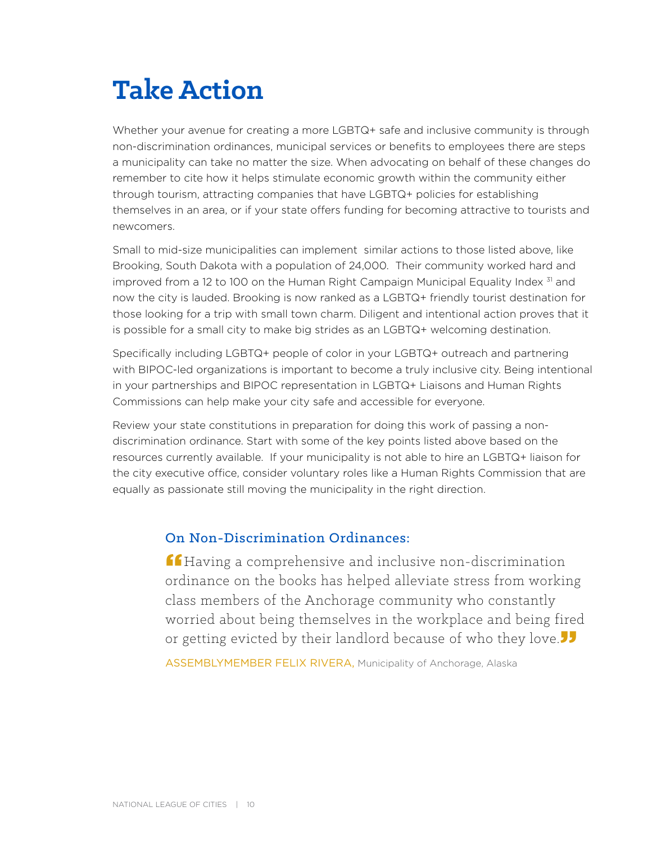# **Take Action**

Whether your avenue for creating a more LGBTQ+ safe and inclusive community is through non-discrimination ordinances, municipal services or benefits to employees there are steps a municipality can take no matter the size. When advocating on behalf of these changes do remember to cite how it helps stimulate economic growth within the community either through tourism, attracting companies that have LGBTQ+ policies for establishing themselves in an area, or if your state offers funding for becoming attractive to tourists and newcomers.

Small to mid-size municipalities can implement similar actions to those listed above, like Brooking, South Dakota with a population of 24,000. Their community worked hard and improved from a 12 to 100 on the Human Right Campaign Municipal Equality Index <sup>31</sup> and now the city is lauded. Brooking is now ranked as a LGBTQ+ friendly tourist destination for those looking for a trip with small town charm. Diligent and intentional action proves that it is possible for a small city to make big strides as an LGBTQ+ welcoming destination.

Specifically including LGBTQ+ people of color in your LGBTQ+ outreach and partnering with BIPOC-led organizations is important to become a truly inclusive city. Being intentional in your partnerships and BIPOC representation in LGBTQ+ Liaisons and Human Rights Commissions can help make your city safe and accessible for everyone.

Review your state constitutions in preparation for doing this work of passing a nondiscrimination ordinance. Start with some of the key points listed above based on the resources currently available. If your municipality is not able to hire an LGBTQ+ liaison for the city executive office, consider voluntary roles like a Human Rights Commission that are equally as passionate still moving the municipality in the right direction.

#### On Non-Discrimination Ordinances:

**ff** Having a comprehensive and inclusive non-discrimination ordinance on the books has helped alleviate stress from working class members of the Anchorage community who constantly worried about being themselves in the workplace and being fired or getting evicted by their landlord because of who they love  $\overline{\phantom{a}}$ 

ASSEMBLYMEMBER FELIX RIVERA, Municipality of Anchorage, Alaska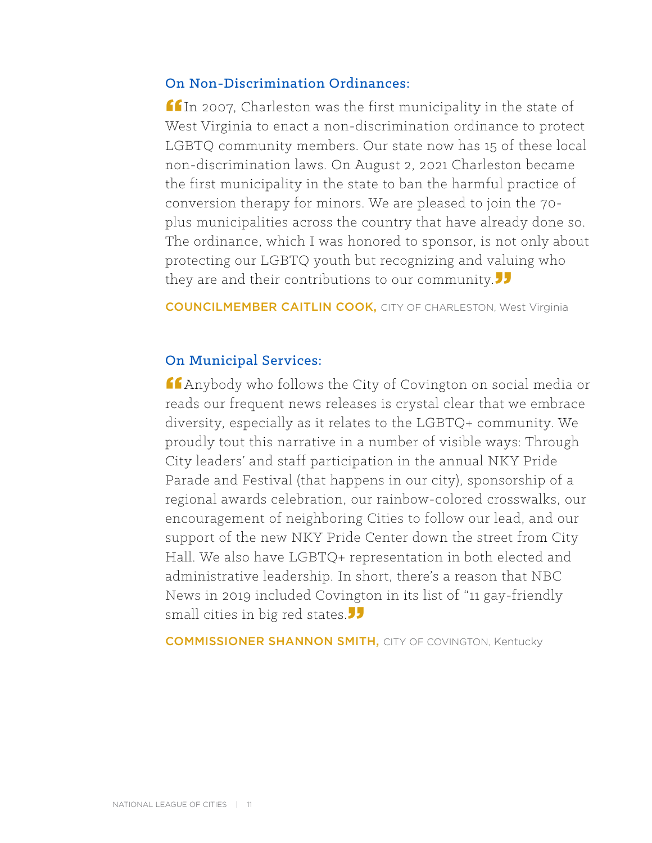#### On Non-Discrimination Ordinances:

 $f_{\text{In 2007}}$ , Charleston was the first municipality in the state of West Virginia to enact a non-discrimination ordinance to protect LGBTQ community members. Our state now has 15 of these local non-discrimination laws. On August 2, 2021 Charleston became the first municipality in the state to ban the harmful practice of conversion therapy for minors. We are pleased to join the 70 plus municipalities across the country that have already done so. The ordinance, which I was honored to sponsor, is not only about protecting our LGBTQ youth but recognizing and valuing who they are and their contributions to our community.

COUNCILMEMBER CAITLIN COOK, CITY OF CHARLESTON, West Virginia

#### On Municipal Services:

**"Anybody who follows the City of Covington on social media or** reads our frequent news releases is crystal clear that we embrace diversity, especially as it relates to the LGBTQ+ community. We proudly tout this narrative in a number of visible ways: Through City leaders' and staff participation in the annual NKY Pride Parade and Festival (that happens in our city), sponsorship of a regional awards celebration, our rainbow-colored crosswalks, our encouragement of neighboring Cities to follow our lead, and our support of the new NKY Pride Center down the street from City Hall. We also have LGBTQ+ representation in both elected and administrative leadership. In short, there's a reason that NBC News in 2019 included Covington in its list of "11 gay-friendly small cities in big red states.<sup>"</sup>

**COMMISSIONER SHANNON SMITH, CITY OF COVINGTON, Kentucky**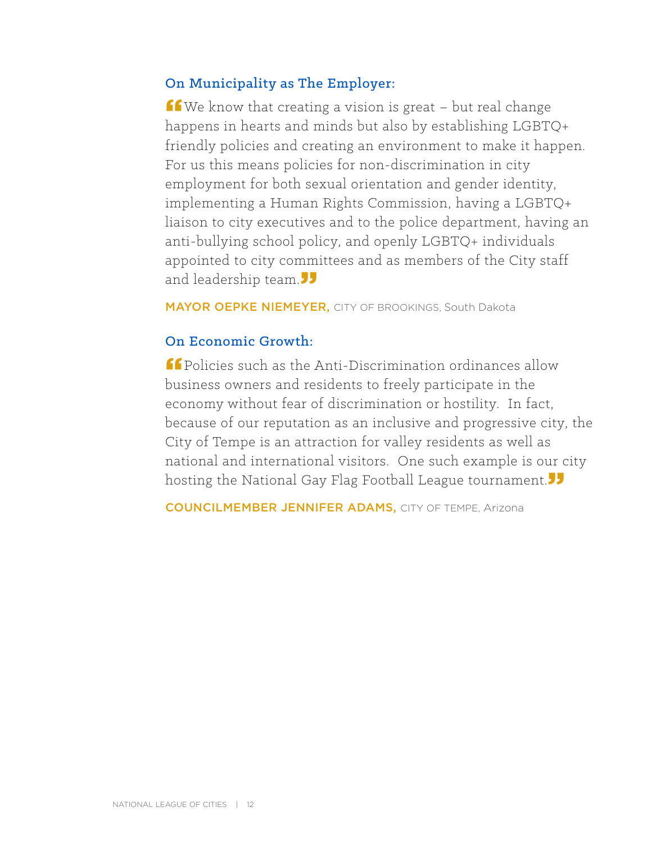### On Municipality as The Employer:

 $f$  We know that creating a vision is great – but real change happens in hearts and minds but also by establishing LGBTQ+ friendly policies and creating an environment to make it happen. For us this means policies for non-discrimination in city employment for both sexual orientation and gender identity, implementing a Human Rights Commission, having a LGBTQ+ liaison to city executives and to the police department, having an anti-bullying school policy, and openly LGBTQ+ individuals appointed to city committees and as members of the City staff and leadership team.

MAYOR OEPKE NIEMEYER, CITY OF BROOKINGS, South Dakota

#### On Economic Growth:

"Policies such as the Anti-Discrimination ordinances allow business owners and residents to freely participate in the economy without fear of discrimination or hostility. In fact, because of our reputation as an inclusive and progressive city, the City of Tempe is an attraction for valley residents as well as national and international visitors. One such example is our city hosting the National Gay Flag Football League tournament.

COUNCILMEMBER JENNIFER ADAMS, CITY OF TEMPE, Arizona